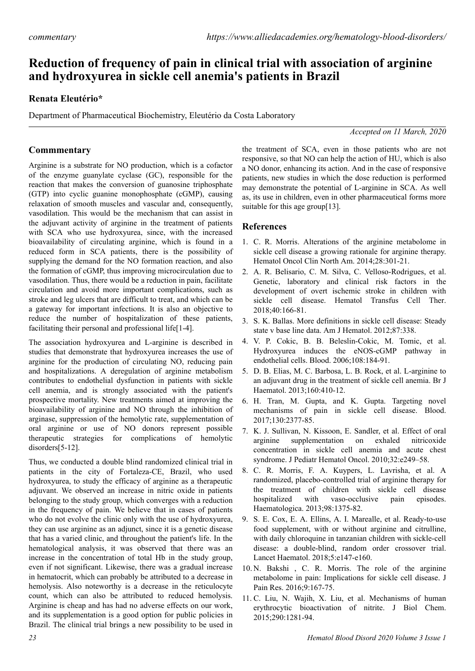# **Reduction of frequency of pain in clinical trial with association of arginine and hydroxyurea in sickle cell anemia's patients in Brazil**

### **Renata Eleutério\***

Department of Pharmaceutical Biochemistry, Eleutério da Costa Laboratory

#### *Accepted on 11 March, 2020*

## **Commmentary**

Arginine is a substrate for NO production, which is a cofactor of the enzyme guanylate cyclase (GC), responsible for the reaction that makes the conversion of guanosine triphosphate (GTP) into cyclic guanine monophosphate (cGMP), causing relaxation of smooth muscles and vascular and, consequently, vasodilation. This would be the mechanism that can assist in the adjuvant activity of arginine in the treatment of patients with SCA who use hydroxyurea, since, with the increased bioavailability of circulating arginine, which is found in a reduced form in SCA patients, there is the possibility of supplying the demand for the NO formation reaction, and also the formation of cGMP, thus improving microcirculation due to vasodilation. Thus, there would be a reduction in pain, facilitate circulation and avoid more important complications, such as stroke and leg ulcers that are difficult to treat, and which can be a gateway for important infections. It is also an objective to reduce the number of hospitalization of these patients, facilitating their personal and professional life[1-4].

The association hydroxyurea and L-arginine is described in studies that demonstrate that hydroxyurea increases the use of arginine for the production of circulating NO, reducing pain and hospitalizations. A deregulation of arginine metabolism contributes to endothelial dysfunction in patients with sickle cell anemia, and is strongly associated with the patient's prospective mortality. New treatments aimed at improving the bioavailability of arginine and NO through the inhibition of arginase, suppression of the hemolytic rate, supplementation of oral arginine or use of NO donors represent possible therapeutic strategies for complications of hemolytic disorders[5-12].

Thus, we conducted a double blind randomized clinical trial in patients in the city of Fortaleza-CE, Brazil, who used hydroxyurea, to study the efficacy of arginine as a therapeutic adjuvant. We observed an increase in nitric oxide in patients belonging to the study group, which converges with a reduction in the frequency of pain. We believe that in cases of patients who do not evolve the clinic only with the use of hydroxyurea, they can use arginine as an adjunct, since it is a genetic disease that has a varied clinic, and throughout the patient's life. In the hematological analysis, it was observed that there was an increase in the concentration of total Hb in the study group, even if not significant. Likewise, there was a gradual increase in hematocrit, which can probably be attributed to a decrease in hemolysis. Also noteworthy is a decrease in the reticulocyte count, which can also be attributed to reduced hemolysis. Arginine is cheap and has had no adverse effects on our work, and its supplementation is a good option for public policies in Brazil. The clinical trial brings a new possibility to be used in

the treatment of SCA, even in those patients who are not responsive, so that NO can help the action of HU, which is also a NO donor, enhancing its action. And in the case of responsive patients, new studies in which the dose reduction is performed may demonstrate the potential of L-arginine in SCA. As well as, its use in children, even in other pharmaceutical forms more suitable for this age group[13].

#### **References**

- 1. C. R. Morris. Alterations of the arginine metabolome in sickle cell disease a growing rationale for arginine therapy. Hematol Oncol Clin North Am. 2014;28:301-21.
- 2. A. R. Belisario, C. M. Silva, C. Velloso-Rodrigues, et al. Genetic, laboratory and clinical risk factors in the development of overt ischemic stroke in children with sickle cell disease. Hematol Transfus Cell Ther. 2018;40:166-81.
- 3. S. K. Ballas. More definitions in sickle cell disease: Steady state v base line data. Am J Hematol. 2012;87:338.
- 4. V. P. Cokic, B. B. Beleslin-Cokic, M. Tomic, et al. Hydroxyurea induces the eNOS-cGMP pathway in endothelial cells. Blood. 2006;108:184-91.
- 5. D. B. Elias, M. C. Barbosa, L. B. Rock, et al. L-arginine to an adjuvant drug in the treatment of sickle cell anemia. Br J Haematol. 2013;160:410-12.
- 6. H. Tran, M. Gupta, and K. Gupta. Targeting novel mechanisms of pain in sickle cell disease. Blood. 2017;130:2377-85.
- 7. K. J. Sullivan, N. Kissoon, E. Sandler, et al. Effect of oral arginine supplementation on exhaled nitricoxide concentration in sickle cell anemia and acute chest syndrome. J Pediatr Hematol Oncol. 2010;32:e249–58.
- 8. C. R. Morris, F. A. Kuypers, L. Lavrisha, et al. A randomized, placebo-controlled trial of arginine therapy for the treatment of children with sickle cell disease hospitalized with vaso-occlusive pain episodes. Haematologica. 2013;98:1375-82.
- 9. S. E. Cox, E. A. Ellins, A. I. Marealle, et al. Ready-to-use food supplement, with or without arginine and citrulline, with daily chloroquine in tanzanian children with sickle-cell disease: a double-blind, random order crossover trial. Lancet Haematol. 2018;5:e147-e160.
- 10. N. Bakshi , C. R. Morris. The role of the arginine metabolome in pain: Implications for sickle cell disease. J Pain Res. 2016;9:167-75.
- 11. C. Liu, N. Wajih, X. Liu, et al. Mechanisms of human erythrocytic bioactivation of nitrite. J Biol Chem. 2015;290:1281-94.